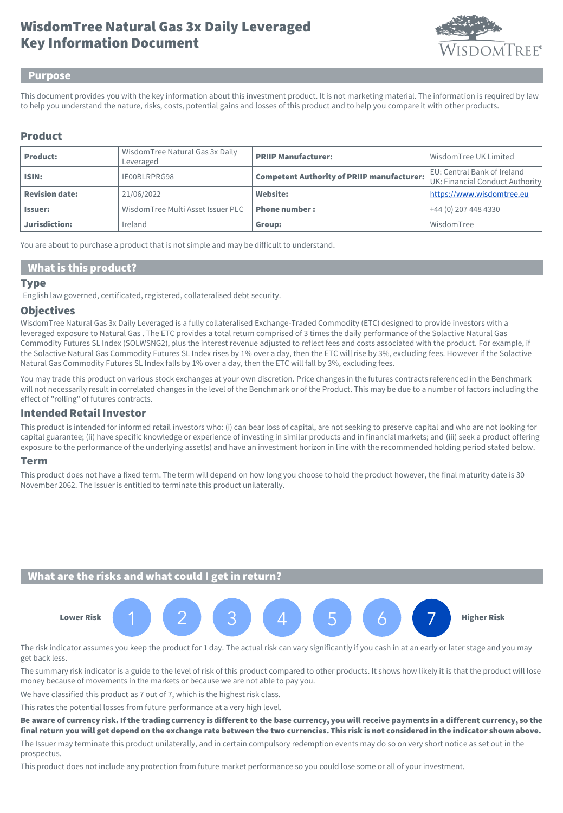# Key Information Document WisdomTree Natural Gas 3x Daily Leveraged



#### Purpose

This document provides you with the key information about this investment product. It is not marketing material. The information is required by law to help you understand the nature, risks, costs, potential gains and losses of this product and to help you compare it with other products.

#### Product

| <b>Product:</b>       | Wisdom Tree Natural Gas 3x Daily<br>Leveraged | <b>PRIIP Manufacturer:</b>                        | Wisdom Tree UK Limited                                         |
|-----------------------|-----------------------------------------------|---------------------------------------------------|----------------------------------------------------------------|
| ISIN:                 | IE00BLRPRG98                                  | <b>Competent Authority of PRIIP manufacturer:</b> | EU: Central Bank of Ireland<br>UK: Financial Conduct Authority |
| <b>Revision date:</b> | 21/06/2022                                    | Website:                                          | https://www.wisdomtree.eu                                      |
| <b>Issuer:</b>        | WisdomTree Multi Asset Issuer PLC             | <b>Phone number:</b>                              | +44 (0) 207 448 4330                                           |
| Jurisdiction:         | Ireland                                       | Group:                                            | WisdomTree                                                     |

You are about to purchase a product that is not simple and may be difficult to understand.

#### What is this product?

#### **Type**

English law governed, certificated, registered, collateralised debt security.

#### **Objectives**

WisdomTree Natural Gas 3x Daily Leveraged is a fully collateralised Exchange-Traded Commodity (ETC) designed to provide investors with a leveraged exposure to Natural Gas . The ETC provides a total return comprised of 3 times the daily performance of the Solactive Natural Gas Commodity Futures SL Index (SOLWSNG2), plus the interest revenue adjusted to reflect fees and costs associated with the product. For example, if the Solactive Natural Gas Commodity Futures SL Index rises by 1% over a day, then the ETC will rise by 3%, excluding fees. However if the Solactive Natural Gas Commodity Futures SL Index falls by 1% over a day, then the ETC will fall by 3%, excluding fees.

You may trade this product on various stock exchanges at your own discretion. Price changes in the futures contracts referenced in the Benchmark will not necessarily result in correlated changes in the level of the Benchmark or of the Product. This may be due to a number of factors including the effect of "rolling" of futures contracts.

#### Intended Retail Investor

This product is intended for informed retail investors who: (i) can bear loss of capital, are not seeking to preserve capital and who are not looking for capital guarantee; (ii) have specific knowledge or experience of investing in similar products and in financial markets; and (iii) seek a product offering exposure to the performance of the underlying asset(s) and have an investment horizon in line with the recommended holding period stated below.

#### Term

This product does not have a fixed term. The term will depend on how long you choose to hold the product however, the final maturity date is 30 November 2062. The Issuer is entitled to terminate this product unilaterally.

# What are the risks and what could I get in return?



The risk indicator assumes you keep the product for 1 day. The actual risk can vary significantly if you cash in at an early or later stage and you may get back less.

The summary risk indicator is a guide to the level of risk of this product compared to other products. It shows how likely it is that the product will lose money because of movements in the markets or because we are not able to pay you.

We have classified this product as 7 out of 7, which is the highest risk class.

This rates the potential losses from future performance at a very high level.

Be aware of currency risk. If the trading currency is different to the base currency, you will receive payments in a different currency, so the final return you will get depend on the exchange rate between the two currencies. This risk is not considered in the indicator shown above.

The Issuer may terminate this product unilaterally, and in certain compulsory redemption events may do so on very short notice as set out in the prospectus.

This product does not include any protection from future market performance so you could lose some or all of your investment.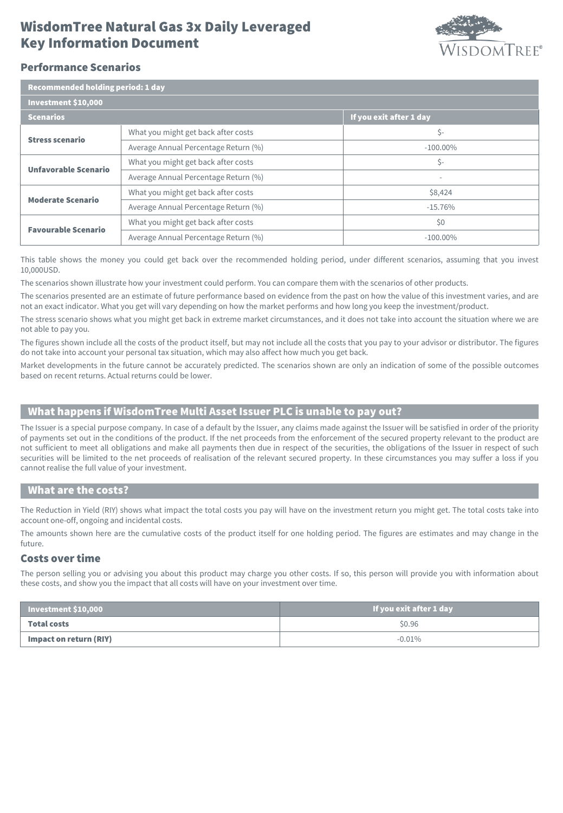# Key Information Document WisdomTree Natural Gas 3x Daily Leveraged



## Performance Scenarios

| Recommended holding period: 1 day |                                      |                         |  |  |
|-----------------------------------|--------------------------------------|-------------------------|--|--|
| Investment \$10,000               |                                      |                         |  |  |
| <b>Scenarios</b>                  |                                      | If you exit after 1 day |  |  |
| <b>Stress scenario</b>            | What you might get back after costs  | \$-                     |  |  |
|                                   | Average Annual Percentage Return (%) | $-100.00\%$             |  |  |
| Unfavorable Scenario              | What you might get back after costs  | \$-                     |  |  |
|                                   | Average Annual Percentage Return (%) | ۰                       |  |  |
| <b>Moderate Scenario</b>          | What you might get back after costs  | \$8,424                 |  |  |
|                                   | Average Annual Percentage Return (%) | $-15.76%$               |  |  |
| <b>Favourable Scenario</b>        | What you might get back after costs  | \$0                     |  |  |
|                                   | Average Annual Percentage Return (%) | $-100.00\%$             |  |  |

This table shows the money you could get back over the recommended holding period, under different scenarios, assuming that you invest 10,000USD.

The scenarios shown illustrate how your investment could perform. You can compare them with the scenarios of other products.

The scenarios presented are an estimate of future performance based on evidence from the past on how the value of this investment varies, and are not an exact indicator. What you get will vary depending on how the market performs and how long you keep the investment/product.

The stress scenario shows what you might get back in extreme market circumstances, and it does not take into account the situation where we are not able to pay you.

The figures shown include all the costs of the product itself, but may not include all the costs that you pay to your advisor or distributor. The figures do not take into account your personal tax situation, which may also affect how much you get back.

Market developments in the future cannot be accurately predicted. The scenarios shown are only an indication of some of the possible outcomes based on recent returns. Actual returns could be lower.

# What happens if WisdomTree Multi Asset Issuer PLC is unable to pay out?

The Issuer is a special purpose company. In case of a default by the Issuer, any claims made against the Issuer will be satisfied in order of the priority of payments set out in the conditions of the product. If the net proceeds from the enforcement of the secured property relevant to the product are not sufficient to meet all obligations and make all payments then due in respect of the securities, the obligations of the Issuer in respect of such securities will be limited to the net proceeds of realisation of the relevant secured property. In these circumstances you may suffer a loss if you cannot realise the full value of your investment.

#### What are the costs?

The Reduction in Yield (RIY) shows what impact the total costs you pay will have on the investment return you might get. The total costs take into account one-off, ongoing and incidental costs.

The amounts shown here are the cumulative costs of the product itself for one holding period. The figures are estimates and may change in the future.

## Costs over time

The person selling you or advising you about this product may charge you other costs. If so, this person will provide you with information about these costs, and show you the impact that all costs will have on your investment over time.

| Investment \$10,000    | If you exit after 1 day |
|------------------------|-------------------------|
| <b>Total costs</b>     | \$0.96                  |
| Impact on return (RIY) | $-0.01\%$               |